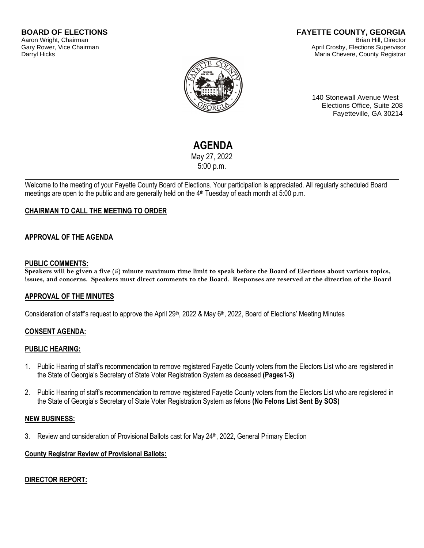#### **FAYETTE COUNTY, GEORGIA** Brian Hill, Director April Crosby, Elections Supervisor Maria Chevere, County Registrar



140 Stonewall Avenue West Elections Office, Suite 208 Fayetteville, GA 30214

# **AGENDA**

May 27, 2022 5:00 p.m.

Welcome to the meeting of your Fayette County Board of Elections. Your participation is appreciated. All regularly scheduled Board meetings are open to the public and are generally held on the 4<sup>th</sup> Tuesday of each month at 5:00 p.m.

## **CHAIRMAN TO CALL THE MEETING TO ORDER**

## **APPROVAL OF THE AGENDA**

#### **PUBLIC COMMENTS:**

**Speakers will be given a five (5) minute maximum time limit to speak before the Board of Elections about various topics, issues, and concerns. Speakers must direct comments to the Board. Responses are reserved at the direction of the Board**

### **APPROVAL OF THE MINUTES**

Consideration of staff's request to approve the April 29<sup>th</sup>, 2022 & May 6<sup>th</sup>, 2022, Board of Elections' Meeting Minutes

### **CONSENT AGENDA:**

### **PUBLIC HEARING:**

- 1. Public Hearing of staff's recommendation to remove registered Fayette County voters from the Electors List who are registered in the State of Georgia's Secretary of State Voter Registration System as deceased **(Pages1-3)**
- 2. Public Hearing of staff's recommendation to remove registered Fayette County voters from the Electors List who are registered in the State of Georgia's Secretary of State Voter Registration System as felons **(No Felons List Sent By SOS)**

### **NEW BUSINESS:**

3. Review and consideration of Provisional Ballots cast for May 24th, 2022, General Primary Election

### **County Registrar Review of Provisional Ballots:**

### **DIRECTOR REPORT:**